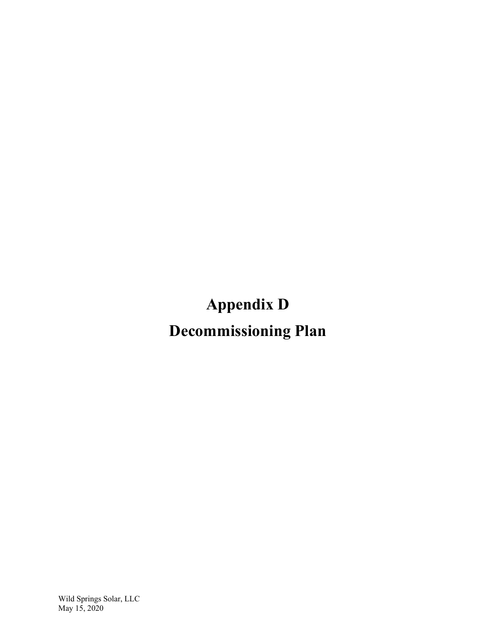**Appendix D** 

**Decommissioning Plan**

Wild Springs Solar, LLC May 15, 2020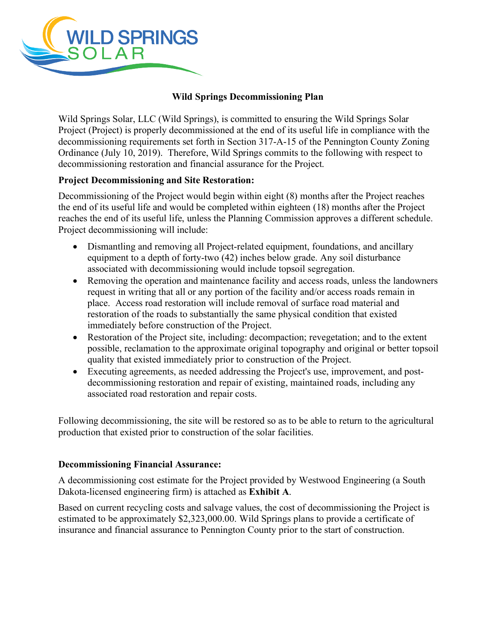

### **Wild Springs Decommissioning Plan**

Wild Springs Solar, LLC (Wild Springs), is committed to ensuring the Wild Springs Solar Project (Project) is properly decommissioned at the end of its useful life in compliance with the decommissioning requirements set forth in Section 317-A-15 of the Pennington County Zoning Ordinance (July 10, 2019). Therefore, Wild Springs commits to the following with respect to decommissioning restoration and financial assurance for the Project.

#### **Project Decommissioning and Site Restoration:**

Decommissioning of the Project would begin within eight (8) months after the Project reaches the end of its useful life and would be completed within eighteen (18) months after the Project reaches the end of its useful life, unless the Planning Commission approves a different schedule. Project decommissioning will include:

- Dismantling and removing all Project-related equipment, foundations, and ancillary equipment to a depth of forty-two (42) inches below grade. Any soil disturbance associated with decommissioning would include topsoil segregation.
- Removing the operation and maintenance facility and access roads, unless the landowners request in writing that all or any portion of the facility and/or access roads remain in place. Access road restoration will include removal of surface road material and restoration of the roads to substantially the same physical condition that existed immediately before construction of the Project.
- Restoration of the Project site, including: decompaction; revegetation; and to the extent possible, reclamation to the approximate original topography and original or better topsoil quality that existed immediately prior to construction of the Project.
- Executing agreements, as needed addressing the Project's use, improvement, and postdecommissioning restoration and repair of existing, maintained roads, including any associated road restoration and repair costs.

Following decommissioning, the site will be restored so as to be able to return to the agricultural production that existed prior to construction of the solar facilities.

#### **Decommissioning Financial Assurance:**

A decommissioning cost estimate for the Project provided by Westwood Engineering (a South Dakota-licensed engineering firm) is attached as **Exhibit A**.

Based on current recycling costs and salvage values, the cost of decommissioning the Project is estimated to be approximately \$2,323,000.00. Wild Springs plans to provide a certificate of insurance and financial assurance to Pennington County prior to the start of construction.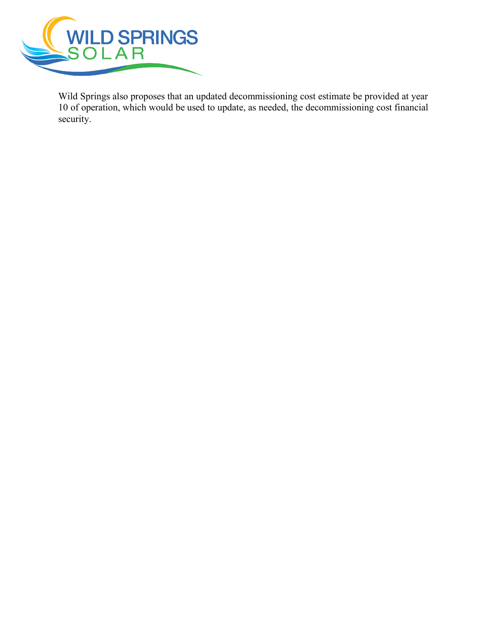

Wild Springs also proposes that an updated decommissioning cost estimate be provided at year 10 of operation, which would be used to update, as needed, the decommissioning cost financial security.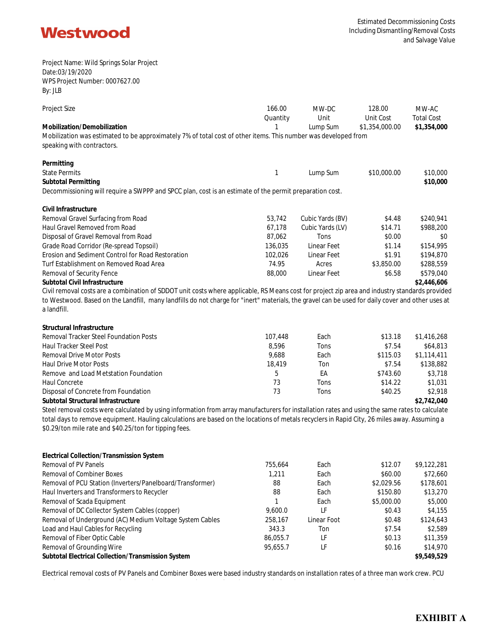

Project Name: Wild Springs Solar Project Date:03/19/2020 WPS Project Number: 0007627.00 By: JLB

| <b>Project Size</b>                                                                                                                              | 166.00   | MW-DC            | 128.00         | MW-AC             |
|--------------------------------------------------------------------------------------------------------------------------------------------------|----------|------------------|----------------|-------------------|
|                                                                                                                                                  | Quantity | Unit             | Unit Cost      | <b>Total Cost</b> |
| Mobilization/Demobilization                                                                                                                      |          | Lump Sum         | \$1,354,000.00 | \$1,354,000       |
| Mobilization was estimated to be approximately 7% of total cost of other items. This number was developed from<br>speaking with contractors.     |          |                  |                |                   |
| Permitting                                                                                                                                       |          |                  |                |                   |
| <b>State Permits</b>                                                                                                                             |          | Lump Sum         | \$10,000.00    | \$10,000          |
| Subtotal Permitting                                                                                                                              |          |                  |                | \$10,000          |
| Decommissioning will require a SWPPP and SPCC plan, cost is an estimate of the permit preparation cost.                                          |          |                  |                |                   |
| Civil Infrastructure                                                                                                                             |          |                  |                |                   |
| Removal Gravel Surfacing from Road                                                                                                               | 53,742   | Cubic Yards (BV) | \$4.48         | \$240,941         |
| Haul Gravel Removed from Road                                                                                                                    | 67,178   | Cubic Yards (LV) | \$14.71        | \$988,200         |
| Disposal of Gravel Removal from Road                                                                                                             | 87,062   | Tons             | \$0.00         | \$0               |
| Grade Road Corridor (Re-spread Topsoil)                                                                                                          | 136,035  | Linear Feet      | \$1.14         | \$154,995         |
| Erosion and Sediment Control for Road Restoration                                                                                                | 102,026  | Linear Feet      | \$1.91         | \$194,870         |
| Turf Establishment on Removed Road Area                                                                                                          | 74.95    | Acres            | \$3,850.00     | \$288,559         |
| Removal of Security Fence                                                                                                                        | 88,000   | Linear Feet      | \$6.58         | \$579,040         |
| Subtotal Civil Infrastructure                                                                                                                    |          |                  |                | \$2,446,606       |
| Civil removal costs are a combination of SDDOT unit costs where applicable, RS Means cost for project zip area and industry standards provided   |          |                  |                |                   |
| to Westwood. Based on the Landfill, many landfills do not charge for "inert" materials, the gravel can be used for daily cover and other uses at |          |                  |                |                   |
| a landfill.                                                                                                                                      |          |                  |                |                   |
| Structural Infrastructure                                                                                                                        |          |                  |                |                   |
| <b>Removal Tracker Steel Foundation Posts</b>                                                                                                    | 107,448  | Each             | \$13.18        | \$1,416,268       |
| <b>Haul Tracker Steel Post</b>                                                                                                                   | 8,596    | Tons             | \$7.54         | \$64,813          |
| <b>Removal Drive Motor Posts</b>                                                                                                                 | 9,688    | Each             | \$115.03       | \$1,114,411       |
| <b>Haul Drive Motor Posts</b>                                                                                                                    | 18,419   | Ton              | \$7.54         | \$138,882         |
| Remove and Load Metstation Foundation                                                                                                            | 5        | EA               | \$743.60       | \$3,718           |

Disposal of Concrete from Foundation 73 Tons \$40.25 \$2,918

**Subtotal Structural Infrastructure \$2,742,040**

Steel removal costs were calculated by using information from array manufacturers for installation rates and using the same rates to calculate total days to remove equipment. Hauling calculations are based on the locations of metals recyclers in Rapid City, 26 miles away. Assuming a \$0.29/ton mile rate and \$40.25/ton for tipping fees.

Haul Concrete 73 Tons \$14.22 \$1,031

| 755,664  | Each        | \$12.07    | \$9,122,281 |
|----------|-------------|------------|-------------|
| 1.211    | Each        | \$60.00    | \$72,660    |
| 88       | Each        | \$2,029.56 | \$178,601   |
| 88       | Each        | \$150.80   | \$13,270    |
|          | Each        | \$5,000.00 | \$5,000     |
| 9.600.0  | LF          | \$0.43     | \$4,155     |
| 258.167  | Linear Foot | \$0.48     | \$124,643   |
| 343.3    | Ton         | \$7.54     | \$2,589     |
| 86.055.7 | LF          | \$0.13     | \$11,359    |
| 95.655.7 | LF          | \$0.16     | \$14,970    |
|          |             |            | \$9,549,529 |
|          |             |            |             |

Electrical removal costs of PV Panels and Combiner Boxes were based industry standards on installation rates of a three man work crew. PCU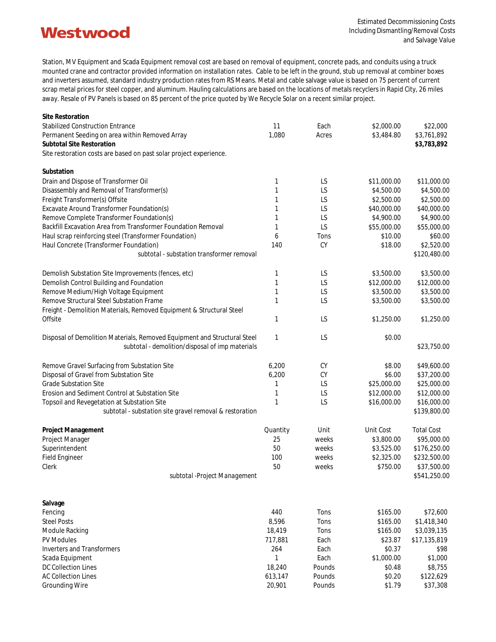## **Westwood**

Station, MV Equipment and Scada Equipment removal cost are based on removal of equipment, concrete pads, and conduits using a truck mounted crane and contractor provided information on installation rates. Cable to be left in the ground, stub up removal at combiner boxes and inverters assumed, standard industry production rates from RS Means. Metal and cable salvage value is based on 75 percent of current scrap metal prices for steel copper, and aluminum. Hauling calculations are based on the locations of metals recyclers in Rapid City, 26 miles away. Resale of PV Panels is based on 85 percent of the price quoted by We Recycle Solar on a recent similar project.

| Site Restoration                                                         |                 |                  |                      |                            |
|--------------------------------------------------------------------------|-----------------|------------------|----------------------|----------------------------|
| <b>Stabilized Construction Entrance</b>                                  | 11              | Each             | \$2,000.00           | \$22,000                   |
| Permanent Seeding on area within Removed Array                           | 1,080           | Acres            | \$3,484.80           | \$3,761,892                |
| Subtotal Site Restoration                                                |                 |                  |                      | \$3,783,892                |
| Site restoration costs are based on past solar project experience.       |                 |                  |                      |                            |
| Substation                                                               |                 |                  |                      |                            |
| Drain and Dispose of Transformer Oil                                     | 1               | LS               | \$11,000.00          | \$11,000.00                |
| Disassembly and Removal of Transformer(s)                                | 1               | LS               | \$4,500.00           | \$4,500.00                 |
| Freight Transformer(s) Offsite                                           | 1               | LS               | \$2,500.00           | \$2,500.00                 |
| Excavate Around Transformer Foundation(s)                                | 1               | LS               | \$40,000.00          | \$40,000.00                |
| Remove Complete Transformer Foundation(s)                                | 1               | LS               | \$4,900.00           | \$4,900.00                 |
| Backfill Excavation Area from Transformer Foundation Removal             | 1               | LS               | \$55,000.00          | \$55,000.00                |
| Haul scrap reinforcing steel (Transformer Foundation)                    | 6               | Tons             | \$10.00              | \$60.00                    |
| Haul Concrete (Transformer Foundation)                                   | 140             | CY               | \$18.00              | \$2,520.00                 |
| subtotal - substation transformer removal                                |                 |                  |                      | \$120,480.00               |
| Demolish Substation Site Improvements (fences, etc)                      | 1               | LS               | \$3,500.00           | \$3,500.00                 |
| Demolish Control Building and Foundation                                 | 1               | LS               | \$12,000.00          | \$12,000.00                |
| Remove Medium/High Voltage Equipment                                     | 1               | LS               | \$3,500.00           | \$3,500.00                 |
| Remove Structural Steel Substation Frame                                 | 1               | LS               | \$3,500.00           | \$3,500.00                 |
| Freight - Demolition Materials, Removed Equipment & Structural Steel     |                 |                  |                      |                            |
| Offsite                                                                  | 1               | LS               | \$1,250.00           | \$1,250.00                 |
| Disposal of Demolition Materials, Removed Equipment and Structural Steel | 1               | LS               | \$0.00               |                            |
| subtotal - demolition/disposal of imp materials                          |                 |                  |                      | \$23,750.00                |
| Remove Gravel Surfacing from Substation Site                             | 6,200           | CY               | \$8.00               | \$49,600.00                |
| Disposal of Gravel from Substation Site                                  | 6,200           | CY               | \$6.00               | \$37,200.00                |
| <b>Grade Substation Site</b>                                             | 1               | LS               | \$25,000.00          | \$25,000.00                |
| Erosion and Sediment Control at Substation Site                          | 1               | LS               | \$12,000.00          | \$12,000.00                |
| Topsoil and Revegetation at Substation Site                              | $\mathbf{1}$    | LS               | \$16,000.00          | \$16,000.00                |
| subtotal - substation site gravel removal & restoration                  |                 |                  |                      | \$139,800.00               |
| Project Management                                                       | Quantity        | Unit             | Unit Cost            | <b>Total Cost</b>          |
| Project Manager                                                          | 25              | weeks            | \$3,800.00           | \$95,000.00                |
| Superintendent                                                           | 50              | weeks            | \$3,525.00           | \$176,250.00               |
| Field Engineer                                                           | 100             | weeks            | \$2,325.00           | \$232,500.00               |
| Clerk                                                                    | 50              | weeks            | \$750.00             | \$37,500.00                |
| subtotal - Project Management                                            |                 |                  |                      | \$541,250.00               |
|                                                                          |                 |                  |                      |                            |
| Salvage                                                                  |                 |                  |                      |                            |
| Fencing                                                                  | 440             | Tons             | \$165.00             | \$72,600                   |
| <b>Steel Posts</b>                                                       | 8,596<br>18,419 | Tons<br>Tons     | \$165.00<br>\$165.00 | \$1,418,340<br>\$3,039,135 |
| Module Racking<br><b>PV Modules</b>                                      |                 | Each             | \$23.87              | \$17,135,819               |
| <b>Inverters and Transformers</b>                                        | 717,881<br>264  | Each             | \$0.37               | \$98                       |
| Scada Equipment                                                          | $\mathbf{1}$    | Each             | \$1,000.00           | \$1,000                    |
| DC Collection Lines                                                      | 18,240          | Pounds           | \$0.48               | \$8,755                    |
| <b>AC Collection Lines</b>                                               |                 |                  | \$0.20               | \$122,629                  |
| <b>Grounding Wire</b>                                                    | 613,147         | Pounds<br>Pounds | \$1.79               | \$37,308                   |
|                                                                          | 20,901          |                  |                      |                            |